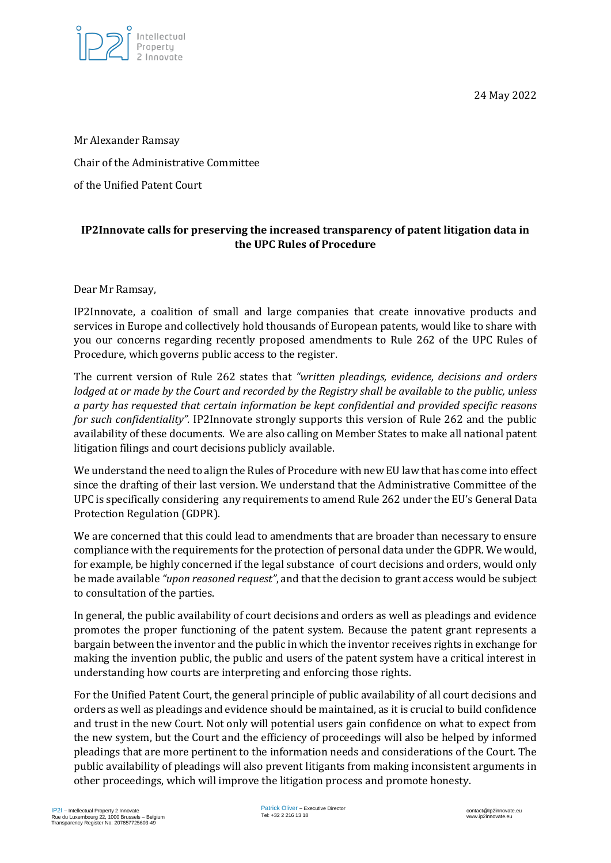

24 May 2022

Mr Alexander Ramsay Chair of the Administrative Committee of the Unified Patent Court

## **IP2Innovate calls for preserving the increased transparency of patent litigation data in the UPC Rules of Procedure**

## Dear Mr Ramsay,

IP2Innovate, a coalition of small and large companies that create innovative products and services in Europe and collectively hold thousands of European patents, would like to share with you our concerns regarding recently proposed amendments to Rule 262 of the UPC Rules of Procedure, which governs public access to the register.

The current version of Rule 262 states that *"written pleadings, evidence, decisions and orders lodged at or made by the Court and recorded by the Registry shall be available to the public, unless a party has requested that certain information be kept confidential and provided specific reasons for such confidentiality".* IP2Innovate strongly supports this version of Rule 262 and the public availability of these documents. We are also calling on Member States to make all national patent litigation filings and court decisions publicly available.

We understand the need to align the Rules of Procedure with new EU law that has come into effect since the drafting of their last version. We understand that the Administrative Committee of the UPC is specifically considering any requirements to amend Rule 262 under the EU's General Data Protection Regulation (GDPR).

We are concerned that this could lead to amendments that are broader than necessary to ensure compliance with the requirements for the protection of personal data under the GDPR. We would, for example, be highly concerned if the legal substance of court decisions and orders, would only be made available *"upon reasoned request"*, and that the decision to grant access would be subject to consultation of the parties.

In general, the public availability of court decisions and orders as well as pleadings and evidence promotes the proper functioning of the patent system. Because the patent grant represents a bargain between the inventor and the public in which the inventor receives rights in exchange for making the invention public, the public and users of the patent system have a critical interest in understanding how courts are interpreting and enforcing those rights.

For the Unified Patent Court, the general principle of public availability of all court decisions and orders as well as pleadings and evidence should be maintained, as it is crucial to build confidence and trust in the new Court. Not only will potential users gain confidence on what to expect from the new system, but the Court and the efficiency of proceedings will also be helped by informed pleadings that are more pertinent to the information needs and considerations of the Court. The public availability of pleadings will also prevent litigants from making inconsistent arguments in other proceedings, which will improve the litigation process and promote honesty.